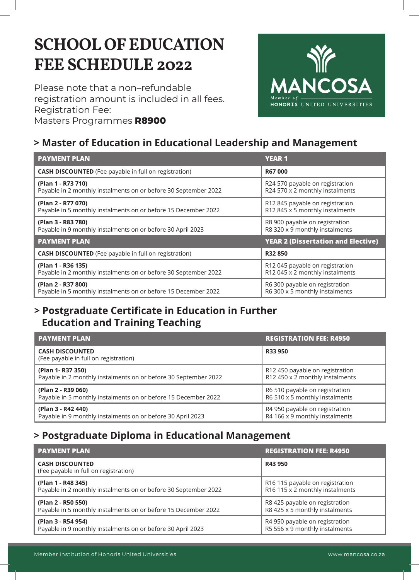# **SCHOOL OF EDUCATION FEE SCHEDULE 2022**

Please note that a non–refundable registration amount is included in all fees. Registration Fee: Masters Programmes **R8900**



## **> Master of Education in Educational Leadership and Management**

| <b>PAYMENT PLAN</b>                                             | <b>YEAR1</b>                              |
|-----------------------------------------------------------------|-------------------------------------------|
| <b>CASH DISCOUNTED</b> (Fee payable in full on registration)    | R67000                                    |
| (Plan 1 - R73 710)                                              | R24 570 payable on registration           |
| Payable in 2 monthly instalments on or before 30 September 2022 | R24 570 x 2 monthly instalments           |
| (Plan 2 - R77 070)                                              | R12 845 payable on registration           |
| Payable in 5 monthly instalments on or before 15 December 2022  | R12 845 x 5 monthly instalments           |
| (Plan 3 - R83 780)                                              | R8 900 payable on registration            |
| Payable in 9 monthly instalments on or before 30 April 2023     | R8 320 x 9 monthly instalments            |
| <b>PAYMENT PLAN</b>                                             | <b>YEAR 2 (Dissertation and Elective)</b> |
| <b>CASH DISCOUNTED</b> (Fee payable in full on registration)    | R32850                                    |
| (Plan 1 - R36 135)                                              | R12 045 payable on registration           |
| Payable in 2 monthly instalments on or before 30 September 2022 | R12 045 x 2 monthly instalments           |
| (Plan 2 - R37 800)                                              | R6 300 payable on registration            |
| Payable in 5 monthly instalments on or before 15 December 2022  | R6 300 x 5 monthly instalments            |

### **> Postgraduate Certificate in Education in Further Education and Training Teaching**

| <b>PAYMENT PLAN</b>                                             | <b>REGISTRATION FEE: R4950</b>  |
|-----------------------------------------------------------------|---------------------------------|
| <b>CASH DISCOUNTED</b><br>(Fee payable in full on registration) | R33 950                         |
| (Plan 1- R37 350)                                               | R12 450 payable on registration |
| Payable in 2 monthly instalments on or before 30 September 2022 | R12 450 x 2 monthly instalments |
| (Plan 2 - R39 060)                                              | R6 510 payable on registration  |
| Payable in 5 monthly instalments on or before 15 December 2022  | R6 510 x 5 monthly instalments  |
| (Plan 3 - R42 440)                                              | R4 950 payable on registration  |
| Payable in 9 monthly instalments on or before 30 April 2023     | R4 166 x 9 monthly instalments  |

## **> Postgraduate Diploma in Educational Management**

| <b>PAYMENT PLAN</b>                                             | <b>REGISTRATION FEE: R4950</b>  |
|-----------------------------------------------------------------|---------------------------------|
| <b>CASH DISCOUNTED</b><br>(Fee payable in full on registration) | R43 950                         |
| (Plan 1 - R48 345)                                              | R16 115 payable on registration |
| Payable in 2 monthly instalments on or before 30 September 2022 | R16 115 x 2 monthly instalments |
| (Plan 2 - R50 550)                                              | R8 425 payable on registration  |
| Payable in 5 monthly instalments on or before 15 December 2022  | R8 425 x 5 monthly instalments  |
| (Plan 3 - R54 954)                                              | R4 950 payable on registration  |
| Payable in 9 monthly instalments on or before 30 April 2023     | R5 556 x 9 monthly instalments  |